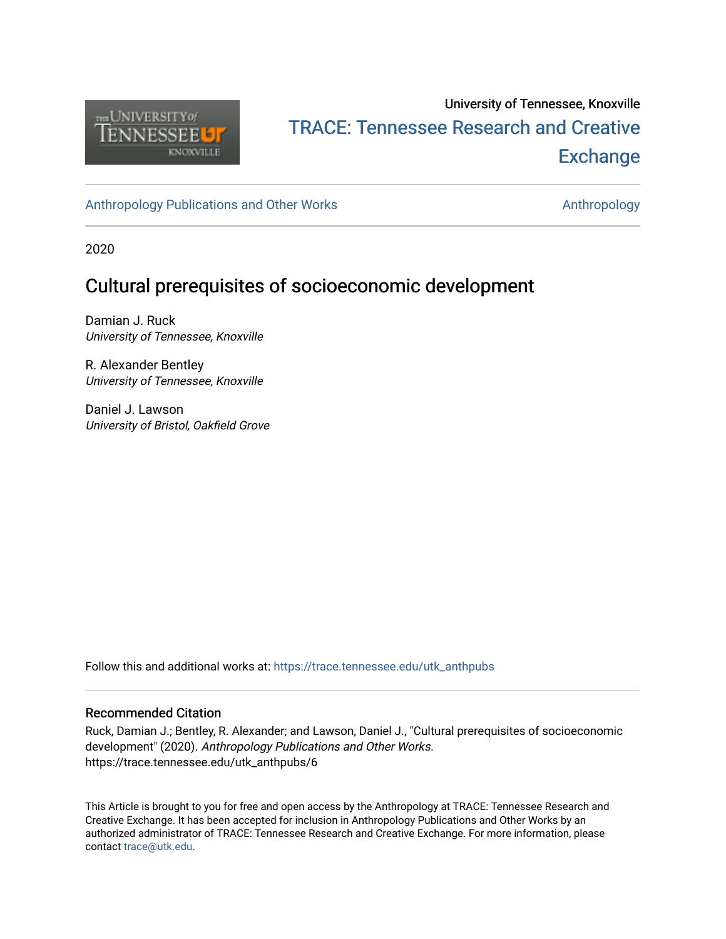

# University of Tennessee, Knoxville TRACE: T[ennessee Research and Cr](https://trace.tennessee.edu/)eative **Exchange**

[Anthropology Publications and Other Works](https://trace.tennessee.edu/utk_anthpubs) **Anthropology** Anthropology

2020

# Cultural prerequisites of socioeconomic development

Damian J. Ruck University of Tennessee, Knoxville

R. Alexander Bentley University of Tennessee, Knoxville

Daniel J. Lawson University of Bristol, Oakfield Grove

Follow this and additional works at: [https://trace.tennessee.edu/utk\\_anthpubs](https://trace.tennessee.edu/utk_anthpubs?utm_source=trace.tennessee.edu%2Futk_anthpubs%2F6&utm_medium=PDF&utm_campaign=PDFCoverPages)

#### Recommended Citation

Ruck, Damian J.; Bentley, R. Alexander; and Lawson, Daniel J., "Cultural prerequisites of socioeconomic development" (2020). Anthropology Publications and Other Works. https://trace.tennessee.edu/utk\_anthpubs/6

This Article is brought to you for free and open access by the Anthropology at TRACE: Tennessee Research and Creative Exchange. It has been accepted for inclusion in Anthropology Publications and Other Works by an authorized administrator of TRACE: Tennessee Research and Creative Exchange. For more information, please contact [trace@utk.edu](mailto:trace@utk.edu).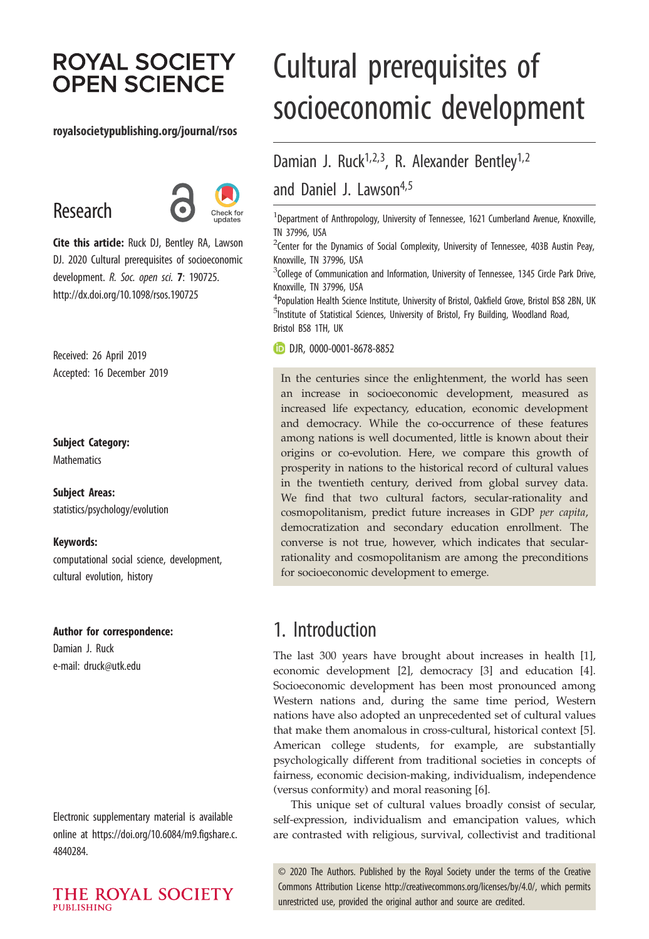# **ROYAL SOCIETY OPEN SCIENCE**

#### royalsocietypublishing.org/journal/rsos

# Research



Cite this article: Ruck DJ, Bentley RA, Lawson DJ. 2020 Cultural prerequisites of socioeconomic development. R. Soc. open sci. 7: 190725. http://dx.doi.org/10.1098/rsos.190725

Received: 26 April 2019 Accepted: 16 December 2019

#### Subject Category:

**Mathematics** 

Subject Areas: statistics/psychology/evolution

#### Keywords:

computational social science, development, cultural evolution, history

#### Author for correspondence:

Damian J. Ruck e-mail: [druck@utk.edu](mailto:druck@utk.edu)

Electronic supplementary material is available online at [https://doi.org/10.6084/m9.figshare.c.](https://doi.org/10.6084/m9.figshare.c.4840284) [4840284.](https://doi.org/10.6084/m9.figshare.c.4840284)

THE ROYAL SOCIETY **PUBLISHING** 

# Cultural prerequisites of socioeconomic development

Damian J. Ruck<sup>1,2,3</sup>, R. Alexander Bentley<sup>1,2</sup> and Daniel J. Lawson<sup>4,5</sup>

<sup>1</sup> Department of Anthropology, University of Tennessee, 1621 Cumberland Avenue, Knoxville, TN 37996, USA

 $2$ Center for the Dynamics of Social Complexity, University of Tennessee, 403B Austin Peay, Knoxville, TN 37996, USA

 $^3$ College of Communication and Information, University of Tennessee, 1345 Circle Park Drive, Knoxville, TN 37996, USA

<sup>4</sup> Population Health Science Institute, University of Bristol, Oakfield Grove, Bristol BS8 2BN, UK <sup>5</sup>Institute of Statistical Sciences, University of Bristol, Fry Building, Woodland Road, Bristol BS8 1TH, UK

DJR, [0000-0001-8678-8852](http://orcid.org/0000-0001-8678-8852)

In the centuries since the enlightenment, the world has seen an increase in socioeconomic development, measured as increased life expectancy, education, economic development and democracy. While the co-occurrence of these features among nations is well documented, little is known about their origins or co-evolution. Here, we compare this growth of prosperity in nations to the historical record of cultural values in the twentieth century, derived from global survey data. We find that two cultural factors, secular-rationality and cosmopolitanism, predict future increases in GDP per capita, democratization and secondary education enrollment. The converse is not true, however, which indicates that secularrationality and cosmopolitanism are among the preconditions for socioeconomic development to emerge.

# 1. Introduction

The last 300 years have brought about increases in health [[1](#page-10-0)], economic development [[2](#page-10-0)], democracy [\[3\]](#page-10-0) and education [[4](#page-10-0)]. Socioeconomic development has been most pronounced among Western nations and, during the same time period, Western nations have also adopted an unprecedented set of cultural values that make them anomalous in cross-cultural, historical context [[5](#page-10-0)]. American college students, for example, are substantially psychologically different from traditional societies in concepts of fairness, economic decision-making, individualism, independence (versus conformity) and moral reasoning [\[6](#page-10-0)].

This unique set of cultural values broadly consist of secular, self-expression, individualism and emancipation values, which are contrasted with religious, survival, collectivist and traditional

© 2020 The Authors. Published by the Royal Society under the terms of the Creative Commons Attribution License<http://creativecommons.org/licenses/by/4.0/>, which permits unrestricted use, provided the original author and source are credited.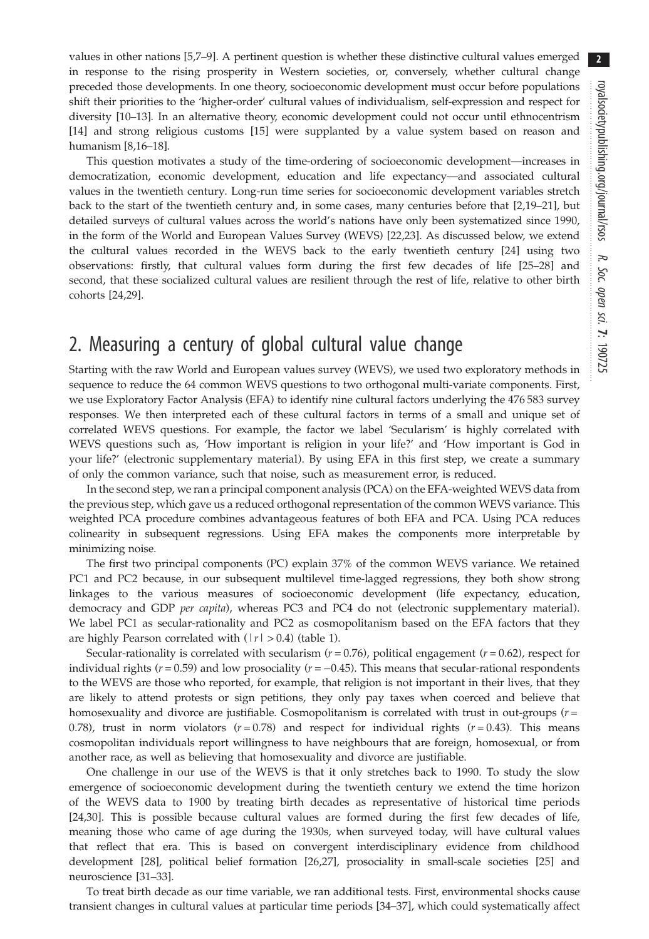values in other nations [[5,7](#page-10-0)–[9\]](#page-10-0). A pertinent question is whether these distinctive cultural values emerged in response to the rising prosperity in Western societies, or, conversely, whether cultural change preceded those developments. In one theory, socioeconomic development must occur before populations shift their priorities to the 'higher-order' cultural values of individualism, self-expression and respect for diversity [\[10](#page-10-0)–[13](#page-10-0)]. In an alternative theory, economic development could not occur until ethnocentrism [\[14](#page-10-0)] and strong religious customs [\[15](#page-10-0)] were supplanted by a value system based on reason and humanism [[8,16](#page-10-0)–[18\]](#page-10-0).

This question motivates a study of the time-ordering of socioeconomic development—increases in democratization, economic development, education and life expectancy—and associated cultural values in the twentieth century. Long-run time series for socioeconomic development variables stretch back to the start of the twentieth century and, in some cases, many centuries before that [[2](#page-10-0),[19](#page-10-0)–[21](#page-10-0)], but detailed surveys of cultural values across the world's nations have only been systematized since 1990, in the form of the World and European Values Survey (WEVS) [\[22,23](#page-10-0)]. As discussed below, we extend the cultural values recorded in the WEVS back to the early twentieth century [\[24](#page-10-0)] using two observations: firstly, that cultural values form during the first few decades of life [\[25](#page-10-0)–[28\]](#page-10-0) and second, that these socialized cultural values are resilient through the rest of life, relative to other birth cohorts [\[24](#page-10-0),[29\]](#page-10-0).

## 2. Measuring a century of global cultural value change

Starting with the raw World and European values survey (WEVS), we used two exploratory methods in sequence to reduce the 64 common WEVS questions to two orthogonal multi-variate components. First, we use Exploratory Factor Analysis (EFA) to identify nine cultural factors underlying the 476 583 survey responses. We then interpreted each of these cultural factors in terms of a small and unique set of correlated WEVS questions. For example, the factor we label 'Secularism' is highly correlated with WEVS questions such as, 'How important is religion in your life?' and 'How important is God in your life?' (electronic supplementary material). By using EFA in this first step, we create a summary of only the common variance, such that noise, such as measurement error, is reduced.

In the second step, we ran a principal component analysis (PCA) on the EFA-weighted WEVS data from the previous step, which gave us a reduced orthogonal representation of the common WEVS variance. This weighted PCA procedure combines advantageous features of both EFA and PCA. Using PCA reduces colinearity in subsequent regressions. Using EFA makes the components more interpretable by minimizing noise.

The first two principal components (PC) explain 37% of the common WEVS variance. We retained PC1 and PC2 because, in our subsequent multilevel time-lagged regressions, they both show strong linkages to the various measures of socioeconomic development (life expectancy, education, democracy and GDP per capita), whereas PC3 and PC4 do not (electronic supplementary material). We label PC1 as secular-rationality and PC2 as cosmopolitanism based on the EFA factors that they are highly Pearson correlated with  $(|r| > 0.4)$  [\(table 1\)](#page-3-0).

Secular-rationality is correlated with secularism  $(r = 0.76)$ , political engagement  $(r = 0.62)$ , respect for individual rights ( $r = 0.59$ ) and low prosociality ( $r = -0.45$ ). This means that secular-rational respondents to the WEVS are those who reported, for example, that religion is not important in their lives, that they are likely to attend protests or sign petitions, they only pay taxes when coerced and believe that homosexuality and divorce are justifiable. Cosmopolitanism is correlated with trust in out-groups  $(r =$ 0.78), trust in norm violators  $(r=0.78)$  and respect for individual rights  $(r=0.43)$ . This means cosmopolitan individuals report willingness to have neighbours that are foreign, homosexual, or from another race, as well as believing that homosexuality and divorce are justifiable.

One challenge in our use of the WEVS is that it only stretches back to 1990. To study the slow emergence of socioeconomic development during the twentieth century we extend the time horizon of the WEVS data to 1900 by treating birth decades as representative of historical time periods [\[24](#page-10-0),[30\]](#page-10-0). This is possible because cultural values are formed during the first few decades of life, meaning those who came of age during the 1930s, when surveyed today, will have cultural values that reflect that era. This is based on convergent interdisciplinary evidence from childhood development [\[28](#page-10-0)], political belief formation [[26,27\]](#page-10-0), prosociality in small-scale societies [[25\]](#page-10-0) and neuroscience [\[31](#page-10-0)–[33\]](#page-10-0).

To treat birth decade as our time variable, we ran additional tests. First, environmental shocks cause transient changes in cultural values at particular time periods [[34](#page-10-0)–[37](#page-10-0)], which could systematically affect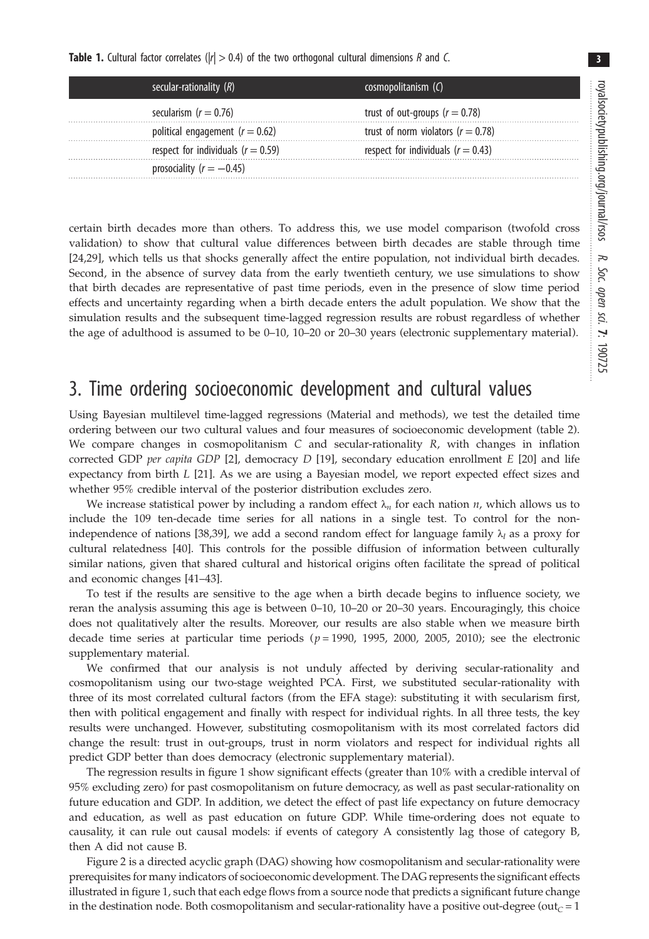3

<span id="page-3-0"></span>

|  |  |  |  |  |  |  |  |  |  |  | <b>Table 1.</b> Cultural factor correlates ( $ r  > 0.4$ ) of the two orthogonal cultural dimensions R and C. |  |  |
|--|--|--|--|--|--|--|--|--|--|--|---------------------------------------------------------------------------------------------------------------|--|--|
|--|--|--|--|--|--|--|--|--|--|--|---------------------------------------------------------------------------------------------------------------|--|--|

| secular-rationality $(R)$              | cosmopolitanism (C)                    |
|----------------------------------------|----------------------------------------|
| secularism $(r = 0.76)$                | trust of out-groups ( $r = 0.78$ )     |
| political engagement ( $r = 0.62$ )    | trust of norm violators ( $r = 0.78$ ) |
| respect for individuals ( $r = 0.59$ ) | respect for individuals ( $r = 0.43$ ) |
| prosociality $(r = -0.45)$             |                                        |

certain birth decades more than others. To address this, we use model comparison (twofold cross validation) to show that cultural value differences between birth decades are stable through time [\[24](#page-10-0),[29\]](#page-10-0), which tells us that shocks generally affect the entire population, not individual birth decades. Second, in the absence of survey data from the early twentieth century, we use simulations to show that birth decades are representative of past time periods, even in the presence of slow time period effects and uncertainty regarding when a birth decade enters the adult population. We show that the simulation results and the subsequent time-lagged regression results are robust regardless of whether the age of adulthood is assumed to be 0–10, 10–20 or 20–30 years (electronic supplementary material).

## 3. Time ordering socioeconomic development and cultural values

Using Bayesian multilevel time-lagged regressions (Material and methods), we test the detailed time ordering between our two cultural values and four measures of socioeconomic development [\(table 2](#page-4-0)). We compare changes in cosmopolitanism  $C$  and secular-rationality  $R$ , with changes in inflation corrected GDP per capita GDP [[2](#page-10-0)], democracy D [\[19](#page-10-0)], secondary education enrollment  $E$  [[20\]](#page-10-0) and life expectancy from birth L [\[21](#page-10-0)]. As we are using a Bayesian model, we report expected effect sizes and whether 95% credible interval of the posterior distribution excludes zero.

We increase statistical power by including a random effect  $\lambda_n$  for each nation *n*, which allows us to include the 109 ten-decade time series for all nations in a single test. To control for the non-independence of nations [\[38](#page-10-0),[39\]](#page-10-0), we add a second random effect for language family  $\lambda_l$  as a proxy for cultural relatedness [[40\]](#page-10-0). This controls for the possible diffusion of information between culturally similar nations, given that shared cultural and historical origins often facilitate the spread of political and economic changes [\[41](#page-10-0)–[43\]](#page-10-0).

To test if the results are sensitive to the age when a birth decade begins to influence society, we reran the analysis assuming this age is between 0–10, 10–20 or 20–30 years. Encouragingly, this choice does not qualitatively alter the results. Moreover, our results are also stable when we measure birth decade time series at particular time periods  $(p = 1990, 1995, 2000, 2005, 2010)$ ; see the electronic supplementary material.

We confirmed that our analysis is not unduly affected by deriving secular-rationality and cosmopolitanism using our two-stage weighted PCA. First, we substituted secular-rationality with three of its most correlated cultural factors (from the EFA stage): substituting it with secularism first, then with political engagement and finally with respect for individual rights. In all three tests, the key results were unchanged. However, substituting cosmopolitanism with its most correlated factors did change the result: trust in out-groups, trust in norm violators and respect for individual rights all predict GDP better than does democracy (electronic supplementary material).

The regression results in [figure 1](#page-5-0) show significant effects (greater than 10% with a credible interval of 95% excluding zero) for past cosmopolitanism on future democracy, as well as past secular-rationality on future education and GDP. In addition, we detect the effect of past life expectancy on future democracy and education, as well as past education on future GDP. While time-ordering does not equate to causality, it can rule out causal models: if events of category A consistently lag those of category B, then A did not cause B.

[Figure 2](#page-6-0) is a directed acyclic graph (DAG) showing how cosmopolitanism and secular-rationality were prerequisites for many indicators of socioeconomic development. The DAG represents the significant effects illustrated in [figure 1](#page-5-0), such that each edge flows from a source node that predicts a significant future change in the destination node. Both cosmopolitanism and secular-rationality have a positive out-degree (out<sub>C</sub> = 1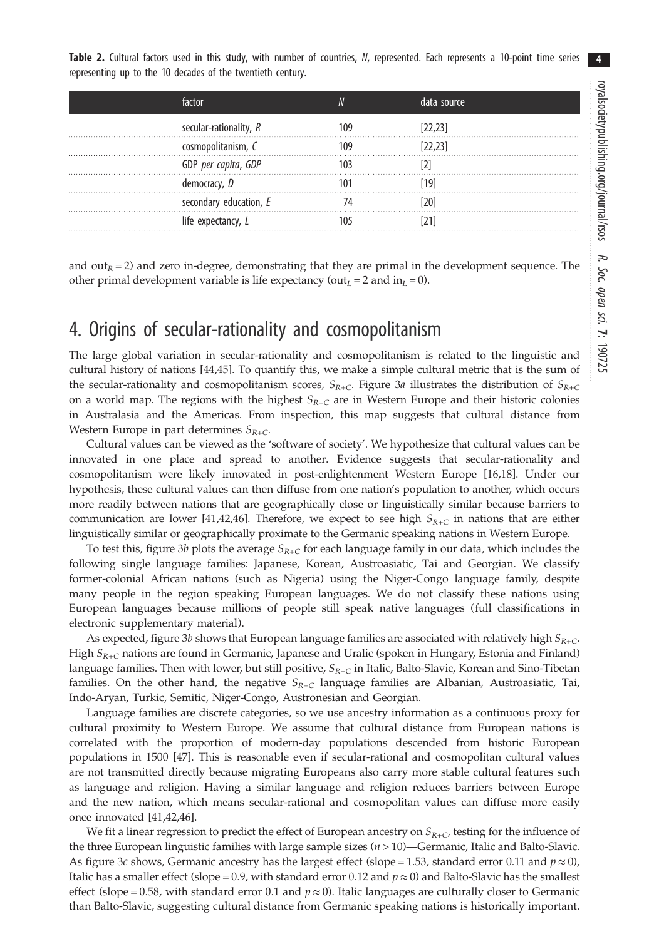<span id="page-4-0"></span>Table 2. Cultural factors used in this study, with number of countries, N, represented. Each represents a 10-point time series representing up to the 10 decades of the twentieth century.

| factor       |                        |     | data source |  |
|--------------|------------------------|-----|-------------|--|
|              | secular-rationality, R | 109 | [22.23]     |  |
|              | cosmopolitanism, C     |     | [22, 23]    |  |
|              | GDP per capita, GDP    |     |             |  |
| democracy, D |                        |     | 191         |  |
|              | secondary education, E |     |             |  |
|              | life expectancy, L     |     |             |  |

and out<sub>R</sub> = 2) and zero in-degree, demonstrating that they are primal in the development sequence. The other primal development variable is life expectancy (out<sub>L</sub> = 2 and in<sub>L</sub> = 0).

## 4. Origins of secular-rationality and cosmopolitanism

The large global variation in secular-rationality and cosmopolitanism is related to the linguistic and cultural history of nations [[44,45\]](#page-10-0). To quantify this, we make a simple cultural metric that is the sum of the secular-rationality and cosmopolitanism scores,  $S_{R+C}$ . [Figure 3](#page-6-0)a illustrates the distribution of  $S_{R+C}$ on a world map. The regions with the highest  $S_{R+C}$  are in Western Europe and their historic colonies in Australasia and the Americas. From inspection, this map suggests that cultural distance from Western Europe in part determines  $S_{R+C}$ .

Cultural values can be viewed as the 'software of society'. We hypothesize that cultural values can be innovated in one place and spread to another. Evidence suggests that secular-rationality and cosmopolitanism were likely innovated in post-enlightenment Western Europe [[16,18](#page-10-0)]. Under our hypothesis, these cultural values can then diffuse from one nation's population to another, which occurs more readily between nations that are geographically close or linguistically similar because barriers to communication are lower [\[41,42,46](#page-10-0)]. Therefore, we expect to see high  $S_{R+C}$  in nations that are either linguistically similar or geographically proximate to the Germanic speaking nations in Western Europe.

To test this, [figure 3](#page-6-0)b plots the average  $S_{R+C}$  for each language family in our data, which includes the following single language families: Japanese, Korean, Austroasiatic, Tai and Georgian. We classify former-colonial African nations (such as Nigeria) using the Niger-Congo language family, despite many people in the region speaking European languages. We do not classify these nations using European languages because millions of people still speak native languages (full classifications in electronic supplementary material).

As expected, [figure 3](#page-6-0)b shows that European language families are associated with relatively high  $S_{R+C}$ . High  $S_{R+C}$  nations are found in Germanic, Japanese and Uralic (spoken in Hungary, Estonia and Finland) language families. Then with lower, but still positive,  $S_{R+C}$  in Italic, Balto-Slavic, Korean and Sino-Tibetan families. On the other hand, the negative  $S_{R+C}$  language families are Albanian, Austroasiatic, Tai, Indo-Aryan, Turkic, Semitic, Niger-Congo, Austronesian and Georgian.

Language families are discrete categories, so we use ancestry information as a continuous proxy for cultural proximity to Western Europe. We assume that cultural distance from European nations is correlated with the proportion of modern-day populations descended from historic European populations in 1500 [\[47](#page-10-0)]. This is reasonable even if secular-rational and cosmopolitan cultural values are not transmitted directly because migrating Europeans also carry more stable cultural features such as language and religion. Having a similar language and religion reduces barriers between Europe and the new nation, which means secular-rational and cosmopolitan values can diffuse more easily once innovated [[41,42,46](#page-10-0)].

We fit a linear regression to predict the effect of European ancestry on  $S_{R+C}$ , testing for the influence of the three European linguistic families with large sample sizes  $(n > 10)$ —Germanic, Italic and Balto-Slavic. As [figure 3](#page-6-0)c shows, Germanic ancestry has the largest effect (slope = 1.53, standard error 0.11 and  $p \approx 0$ ), Italic has a smaller effect (slope = 0.9, with standard error 0.12 and  $p \approx 0$ ) and Balto-Slavic has the smallest effect (slope = 0.58, with standard error 0.1 and  $p \approx 0$ ). Italic languages are culturally closer to Germanic than Balto-Slavic, suggesting cultural distance from Germanic speaking nations is historically important.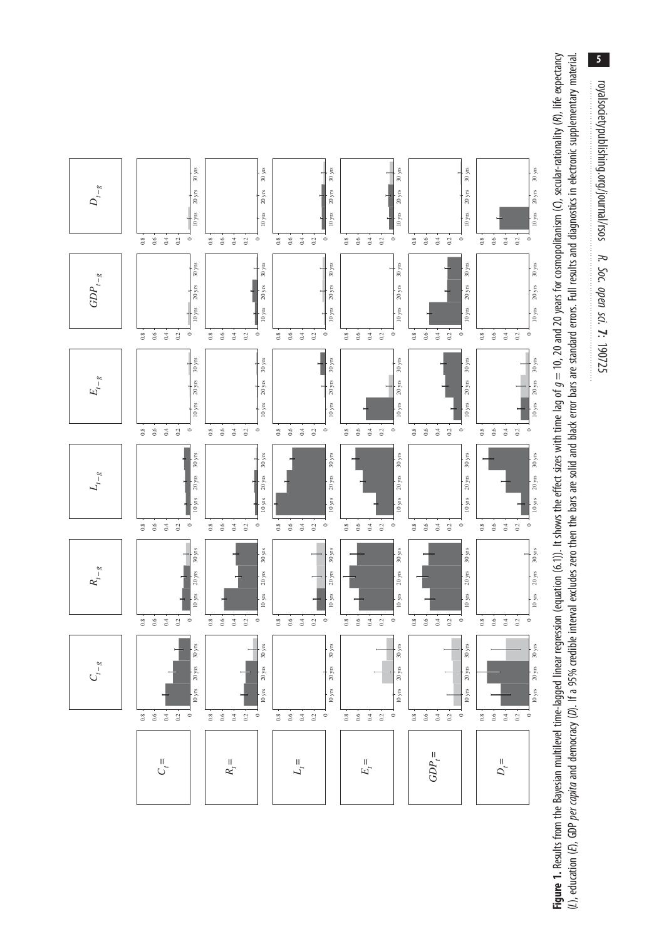**Figure 1.** Results from the Bayesian multilevel time-lagged linear regression (equation (6.1)). It shows the effect sizes with time lag of  $g = 10$ , 20 and 20 years for cosmopolitanism (C), secular-rationality (R), life e **Figure 1.** Results from the Bayesian multilevel time-lagged linear regression (equation (6.1)). It shows the effect sizes with time lag of  $g=10$ , 20 and 20 years for cosmopolitanism (C), secular-rationality (R), life ex (L), education (E), GDP *per capita* and democracy (D). If a 95% credible interval excludes zero then the bars are solid and black error bars are standard errors. Full results and diagnostics in electronic supplementary ma

<span id="page-5-0"></span>

 $\overline{\mathbf{5}}$ royalsocietypublishing.org/journal/rsos R. Soc. open sci. 7: 190725

royalsocietypublishing.org/journal/rsos

R. Soc. open sci.  $\mathbf{r}$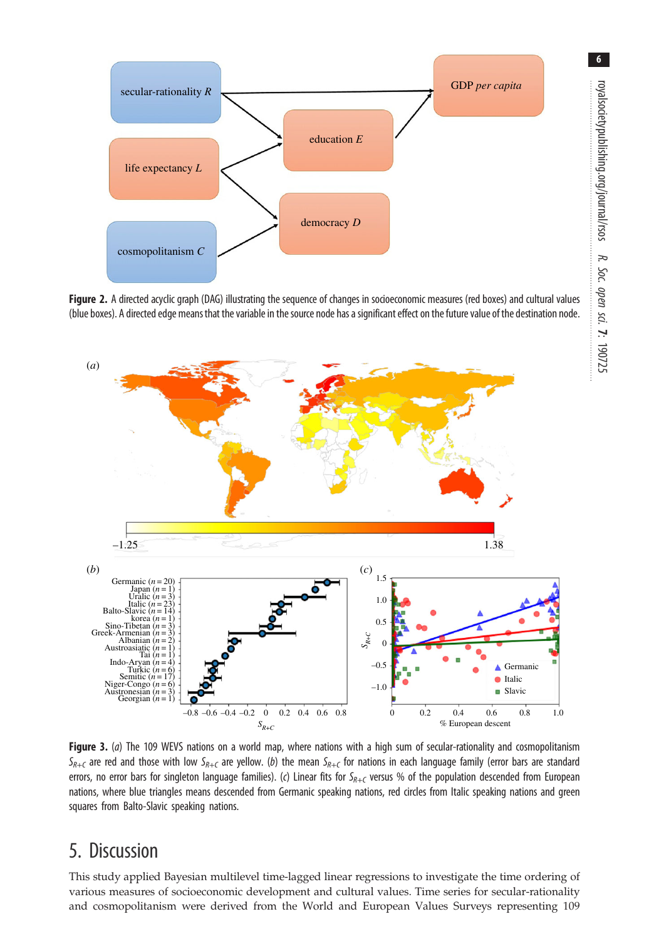<span id="page-6-0"></span>

Figure 2. A directed acyclic graph (DAG) illustrating the sequence of changes in socioeconomic measures (red boxes) and cultural values (blue boxes). A directed edge means that the variable in the source node has a significant effect on the future value of the destination node.



Figure 3. (a) The 109 WEVS nations on a world map, where nations with a high sum of secular-rationality and cosmopolitanism  $S_{R+C}$  are red and those with low  $S_{R+C}$  are yellow. (b) the mean  $S_{R+C}$  for nations in each language family (error bars are standard errors, no error bars for singleton language families). (c) Linear fits for  $S_{R+C}$  versus % of the population descended from European nations, where blue triangles means descended from Germanic speaking nations, red circles from Italic speaking nations and green squares from Balto-Slavic speaking nations.

## 5. Discussion

This study applied Bayesian multilevel time-lagged linear regressions to investigate the time ordering of various measures of socioeconomic development and cultural values. Time series for secular-rationality and cosmopolitanism were derived from the World and European Values Surveys representing 109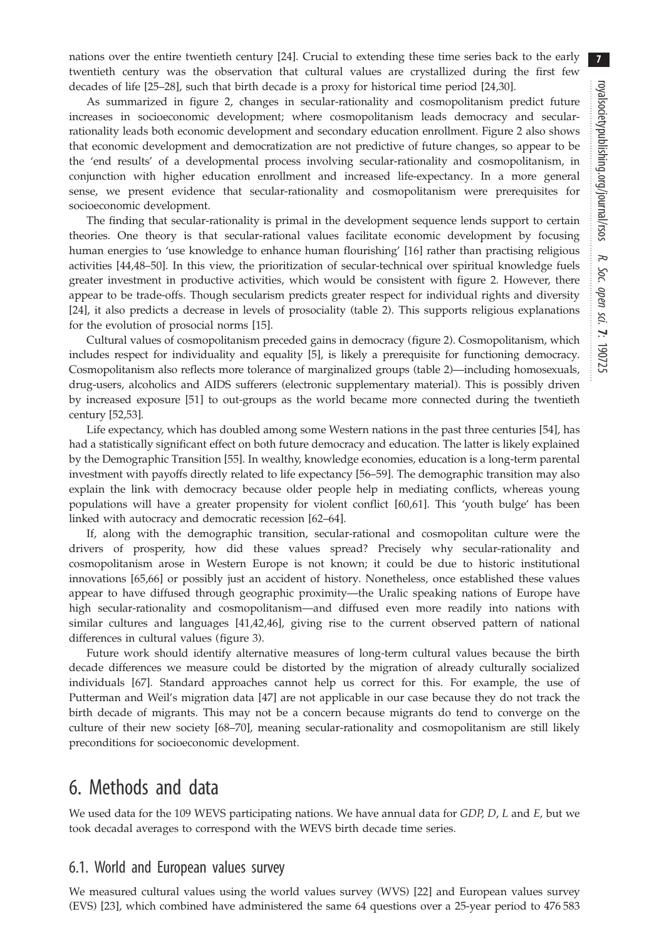nations over the entire twentieth century [\[24](#page-10-0)]. Crucial to extending these time series back to the early twentieth century was the observation that cultural values are crystallized during the first few decades of life [[25](#page-10-0)–[28](#page-10-0)], such that birth decade is a proxy for historical time period [[24,30](#page-10-0)].

As summarized in [figure 2](#page-6-0), changes in secular-rationality and cosmopolitanism predict future increases in socioeconomic development; where cosmopolitanism leads democracy and secularrationality leads both economic development and secondary education enrollment. [Figure 2](#page-6-0) also shows that economic development and democratization are not predictive of future changes, so appear to be the 'end results' of a developmental process involving secular-rationality and cosmopolitanism, in conjunction with higher education enrollment and increased life-expectancy. In a more general sense, we present evidence that secular-rationality and cosmopolitanism were prerequisites for socioeconomic development.

The finding that secular-rationality is primal in the development sequence lends support to certain theories. One theory is that secular-rational values facilitate economic development by focusing human energies to 'use knowledge to enhance human flourishing' [\[16](#page-10-0)] rather than practising religious activities [[44,48](#page-10-0)–[50](#page-11-0)]. In this view, the prioritization of secular-technical over spiritual knowledge fuels greater investment in productive activities, which would be consistent with [figure 2](#page-6-0). However, there appear to be trade-offs. Though secularism predicts greater respect for individual rights and diversity [\[24](#page-10-0)], it also predicts a decrease in levels of prosociality ([table 2\)](#page-4-0). This supports religious explanations for the evolution of prosocial norms [[15\]](#page-10-0).

Cultural values of cosmopolitanism preceded gains in democracy ([figure 2](#page-6-0)). Cosmopolitanism, which includes respect for individuality and equality [[5](#page-10-0)], is likely a prerequisite for functioning democracy. Cosmopolitanism also reflects more tolerance of marginalized groups [\(table 2\)](#page-4-0)—including homosexuals, drug-users, alcoholics and AIDS sufferers (electronic supplementary material). This is possibly driven by increased exposure [[51\]](#page-11-0) to out-groups as the world became more connected during the twentieth century [[52](#page-11-0),[53\]](#page-11-0).

Life expectancy, which has doubled among some Western nations in the past three centuries [[54\]](#page-11-0), has had a statistically significant effect on both future democracy and education. The latter is likely explained by the Demographic Transition [\[55](#page-11-0)]. In wealthy, knowledge economies, education is a long-term parental investment with payoffs directly related to life expectancy [\[56](#page-11-0)–[59\]](#page-11-0). The demographic transition may also explain the link with democracy because older people help in mediating conflicts, whereas young populations will have a greater propensity for violent conflict [\[60](#page-11-0),[61\]](#page-11-0). This 'youth bulge' has been linked with autocracy and democratic recession [[62](#page-11-0)–[64](#page-11-0)].

If, along with the demographic transition, secular-rational and cosmopolitan culture were the drivers of prosperity, how did these values spread? Precisely why secular-rationality and cosmopolitanism arose in Western Europe is not known; it could be due to historic institutional innovations [\[65,66](#page-11-0)] or possibly just an accident of history. Nonetheless, once established these values appear to have diffused through geographic proximity—the Uralic speaking nations of Europe have high secular-rationality and cosmopolitanism—and diffused even more readily into nations with similar cultures and languages [\[41,42](#page-10-0),[46\]](#page-10-0), giving rise to the current observed pattern of national differences in cultural values [\(figure 3\)](#page-6-0).

Future work should identify alternative measures of long-term cultural values because the birth decade differences we measure could be distorted by the migration of already culturally socialized individuals [[67\]](#page-11-0). Standard approaches cannot help us correct for this. For example, the use of Putterman and Weil's migration data [[47\]](#page-10-0) are not applicable in our case because they do not track the birth decade of migrants. This may not be a concern because migrants do tend to converge on the culture of their new society [[68](#page-11-0)–[70](#page-11-0)], meaning secular-rationality and cosmopolitanism are still likely preconditions for socioeconomic development.

# 6. Methods and data

We used data for the 109 WEVS participating nations. We have annual data for  $GDP$ ,  $D$ ,  $L$  and  $E$ , but we took decadal averages to correspond with the WEVS birth decade time series.

#### 6.1. World and European values survey

We measured cultural values using the world values survey (WVS) [[22\]](#page-10-0) and European values survey (EVS) [[23\]](#page-10-0), which combined have administered the same 64 questions over a 25-year period to 476 583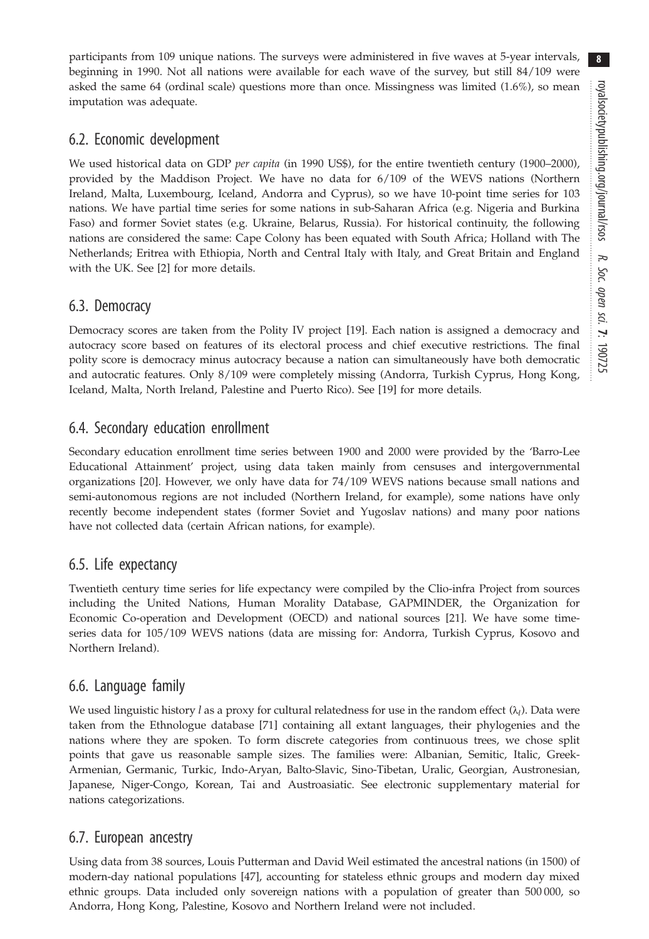participants from 109 unique nations. The surveys were administered in five waves at 5-year intervals, beginning in 1990. Not all nations were available for each wave of the survey, but still 84/109 were asked the same 64 (ordinal scale) questions more than once. Missingness was limited (1.6%), so mean imputation was adequate.

### 6.2. Economic development

We used historical data on GDP per capita (in 1990 US\$), for the entire twentieth century (1900–2000), provided by the Maddison Project. We have no data for 6/109 of the WEVS nations (Northern Ireland, Malta, Luxembourg, Iceland, Andorra and Cyprus), so we have 10-point time series for 103 nations. We have partial time series for some nations in sub-Saharan Africa (e.g. Nigeria and Burkina Faso) and former Soviet states (e.g. Ukraine, Belarus, Russia). For historical continuity, the following nations are considered the same: Cape Colony has been equated with South Africa; Holland with The Netherlands; Eritrea with Ethiopia, North and Central Italy with Italy, and Great Britain and England with the UK. See [\[2\]](#page-10-0) for more details.

### 6.3. Democracy

Democracy scores are taken from the Polity IV project [[19\]](#page-10-0). Each nation is assigned a democracy and autocracy score based on features of its electoral process and chief executive restrictions. The final polity score is democracy minus autocracy because a nation can simultaneously have both democratic and autocratic features. Only 8/109 were completely missing (Andorra, Turkish Cyprus, Hong Kong, Iceland, Malta, North Ireland, Palestine and Puerto Rico). See [\[19](#page-10-0)] for more details.

### 6.4. Secondary education enrollment

Secondary education enrollment time series between 1900 and 2000 were provided by the 'Barro-Lee Educational Attainment' project, using data taken mainly from censuses and intergovernmental organizations [\[20](#page-10-0)]. However, we only have data for 74/109 WEVS nations because small nations and semi-autonomous regions are not included (Northern Ireland, for example), some nations have only recently become independent states (former Soviet and Yugoslav nations) and many poor nations have not collected data (certain African nations, for example).

#### 6.5. Life expectancy

Twentieth century time series for life expectancy were compiled by the Clio-infra Project from sources including the United Nations, Human Morality Database, GAPMINDER, the Organization for Economic Co-operation and Development (OECD) and national sources [\[21](#page-10-0)]. We have some timeseries data for 105/109 WEVS nations (data are missing for: Andorra, Turkish Cyprus, Kosovo and Northern Ireland).

## 6.6. Language family

We used linguistic history l as a proxy for cultural relatedness for use in the random effect  $(\lambda_i)$ . Data were taken from the Ethnologue database [\[71](#page-11-0)] containing all extant languages, their phylogenies and the nations where they are spoken. To form discrete categories from continuous trees, we chose split points that gave us reasonable sample sizes. The families were: Albanian, Semitic, Italic, Greek-Armenian, Germanic, Turkic, Indo-Aryan, Balto-Slavic, Sino-Tibetan, Uralic, Georgian, Austronesian, Japanese, Niger-Congo, Korean, Tai and Austroasiatic. See electronic supplementary material for nations categorizations.

## 6.7. European ancestry

Using data from 38 sources, Louis Putterman and David Weil estimated the ancestral nations (in 1500) of modern-day national populations [[47\]](#page-10-0), accounting for stateless ethnic groups and modern day mixed ethnic groups. Data included only sovereign nations with a population of greater than 500 000, so Andorra, Hong Kong, Palestine, Kosovo and Northern Ireland were not included.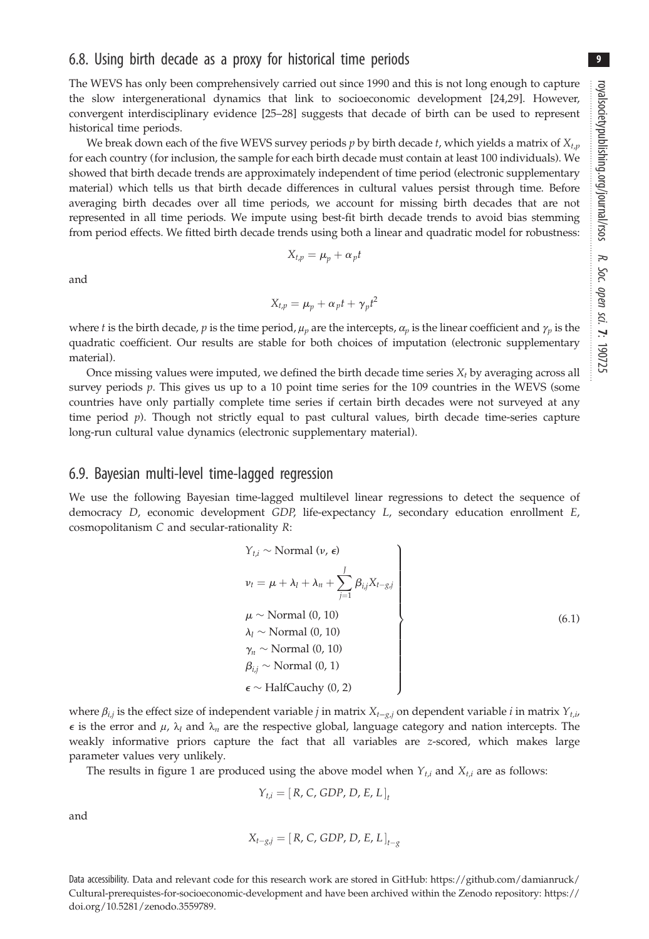9

#### 6.8. Using birth decade as a proxy for historical time periods

The WEVS has only been comprehensively carried out since 1990 and this is not long enough to capture the slow intergenerational dynamics that link to socioeconomic development [\[24,29](#page-10-0)]. However, convergent interdisciplinary evidence [\[25](#page-10-0)–[28\]](#page-10-0) suggests that decade of birth can be used to represent historical time periods.

We break down each of the five WEVS survey periods  $p$  by birth decade  $t$ , which yields a matrix of  $X_{t,p}$ for each country (for inclusion, the sample for each birth decade must contain at least 100 individuals). We showed that birth decade trends are approximately independent of time period (electronic supplementary material) which tells us that birth decade differences in cultural values persist through time. Before averaging birth decades over all time periods, we account for missing birth decades that are not represented in all time periods. We impute using best-fit birth decade trends to avoid bias stemming from period effects. We fitted birth decade trends using both a linear and quadratic model for robustness:

$$
X_{t,p}=\mu_p+\alpha_pt
$$

and

$$
X_{t,p} = \mu_p + \alpha_p t + \gamma_p t^2
$$

where t is the birth decade, p is the time period,  $\mu_p$  are the intercepts,  $\alpha_p$  is the linear coefficient and  $\gamma_p$  is the quadratic coefficient. Our results are stable for both choices of imputation (electronic supplementary material).

Once missing values were imputed, we defined the birth decade time series  $X_t$  by averaging across all survey periods  $p$ . This gives us up to a 10 point time series for the 109 countries in the WEVS (some countries have only partially complete time series if certain birth decades were not surveyed at any time period  $p$ ). Though not strictly equal to past cultural values, birth decade time-series capture long-run cultural value dynamics (electronic supplementary material).

#### 6.9. Bayesian multi-level time-lagged regression

We use the following Bayesian time-lagged multilevel linear regressions to detect the sequence of democracy D, economic development GDP, life-expectancy L, secondary education enrollment E, cosmopolitanism C and secular-rationality R:

$$
Y_{t,i} \sim \text{Normal} \ (v, \epsilon)
$$
\n
$$
v_t = \mu + \lambda_l + \lambda_n + \sum_{j=1}^J \beta_{i,j} X_{t-g,j}
$$
\n
$$
\mu \sim \text{Normal} \ (0, 10)
$$
\n
$$
\lambda_l \sim \text{Normal} \ (0, 10)
$$
\n
$$
\gamma_n \sim \text{Normal} \ (0, 10)
$$
\n
$$
\beta_{i,j} \sim \text{Normal} \ (0, 1)
$$
\n
$$
\epsilon \sim \text{HalfCauchy} \ (0, 2)
$$
\n
$$
(6.1)
$$

where  $\beta_{i,j}$  is the effect size of independent variable j in matrix  $X_{t-g,j}$  on dependent variable i in matrix  $Y_{t,i}$  $\epsilon$  is the error and  $\mu$ ,  $\lambda_l$  and  $\lambda_n$  are the respective global, language category and nation intercepts. The weakly informative priors capture the fact that all variables are z-scored, which makes large parameter values very unlikely.

The results in [figure 1](#page-5-0) are produced using the above model when  $Y_{t,i}$  and  $X_{t,i}$  are as follows:

$$
Y_{t,i} = [R, C, GDP, D, E, L]_{t}
$$

and

$$
X_{t-g,j} = [R, C, GDP, D, E, L]_{t-g}
$$

Data accessibility. Data and relevant code for this research work are stored in GitHub: [https://github.com/damianruck/](https://github.com/damianruck/Cultural-prerequistes-for-socioeconomic-development) [Cultural-prerequistes-for-socioeconomic-development](https://github.com/damianruck/Cultural-prerequistes-for-socioeconomic-development) and have been archived within the Zenodo repository: [https://](https://doi.org/10.5281/zenodo.3559789) [doi.org/10.5281/zenodo.3559789.](https://doi.org/10.5281/zenodo.3559789)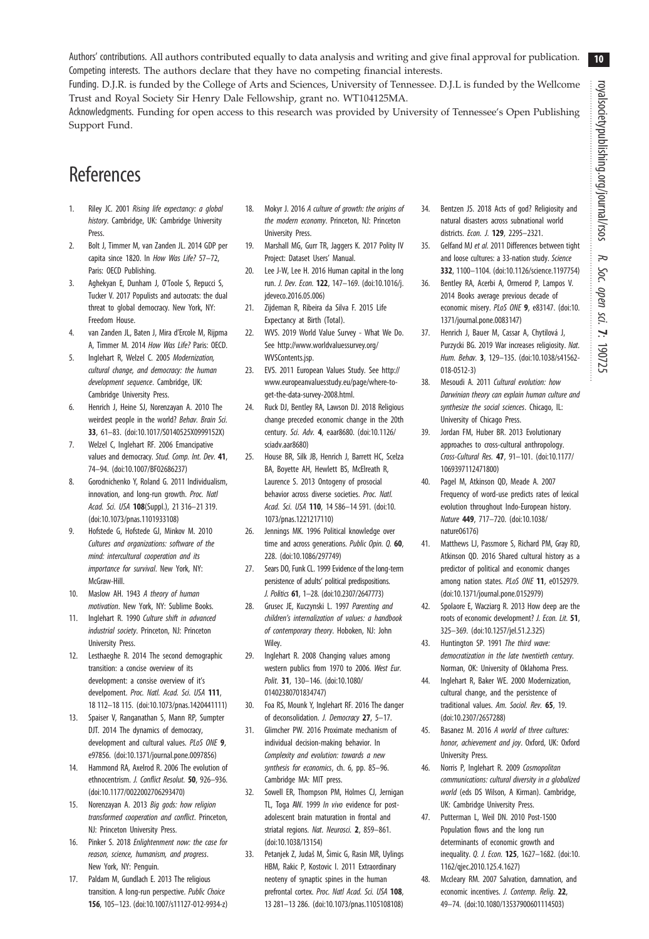10

<span id="page-10-0"></span>Authors' contributions. All authors contributed equally to data analysis and writing and give final approval for publication. Competing interests. The authors declare that they have no competing financial interests.

Funding. D.J.R. is funded by the College of Arts and Sciences, University of Tennessee. D.J.L is funded by the Wellcome Trust and Royal Society Sir Henry Dale Fellowship, grant no. WT104125MA.

Acknowledgments. Funding for open access to this research was provided by University of Tennessee's Open Publishing Support Fund.

# References

- 1. Riley JC. 2001 Rising life expectancy: a global history. Cambridge, UK: Cambridge University Press.
- 2. Bolt J, Timmer M, van Zanden JL. 2014 GDP per capita since 1820. In How Was Life? 57–72, Paris: OECD Publishing.
- 3. Aghekyan E, Dunham J, O'Toole S, Repucci S, Tucker V. 2017 Populists and autocrats: the dual threat to global democracy. New York, NY: Freedom House.
- 4. van Zanden JL, Baten J, Mira d'Ercole M, Rijpma A, Timmer M. 2014 How Was Life? Paris: OECD.
- 5. Inglehart R, Welzel C. 2005 Modernization, cultural change, and democracy: the human development sequence. Cambridge, UK: Cambridge University Press.
- 6. Henrich J, Heine SJ, Norenzayan A. 2010 The weirdest people in the world? Behav. Brain Sci. 33, 61–83. [\(doi:10.1017/S0140525X0999152X\)](http://dx.doi.org/10.1017/S0140525X0999152X)
- 7. Welzel C, Inglehart RF. 2006 Emancipative values and democracy. Stud. Comp. Int. Dev. 41, 74–94. ([doi:10.1007/BF02686237\)](http://dx.doi.org/10.1007/BF02686237)
- 8. Gorodnichenko Y, Roland G. 2011 Individualism, innovation, and long-run growth. Proc. Natl Acad. Sci. USA 108(Suppl.), 21 316-21 319. ([doi:10.1073/pnas.1101933108](http://dx.doi.org/10.1073/pnas.1101933108))
- 9. Hofstede G, Hofstede GJ, Minkov M. 2010 Cultures and organizations: software of the mind: intercultural cooperation and its importance for survival. New York, NY: McGraw-Hill.
- 10. Maslow AH. 1943 A theory of human motivation. New York, NY: Sublime Books.
- 11. Inglehart R. 1990 Culture shift in advanced industrial society. Princeton, NJ: Princeton University Press.
- 12. Lesthaeghe R. 2014 The second demographic transition: a concise overview of its development: a consise overview of it's develpoment. Proc. Natl. Acad. Sci. USA 111, 18 112–18 115. ([doi:10.1073/pnas.1420441111\)](http://dx.doi.org/10.1073/pnas.1420441111)
- 13. Spaiser V, Ranganathan S, Mann RP, Sumpter DJT. 2014 The dynamics of democracy, development and cultural values. PLoS ONE 9, e97856. ([doi:10.1371/journal.pone.0097856](http://dx.doi.org/10.1371/journal.pone.0097856))
- 14. Hammond RA, Axelrod R. 2006 The evolution of ethnocentrism. J. Conflict Resolut. 50, 926–936. ([doi:10.1177/0022002706293470\)](http://dx.doi.org/10.1177/0022002706293470)
- 15. Norenzayan A. 2013 Big gods: how religion transformed cooperation and conflict. Princeton, NJ: Princeton University Press.
- 16. Pinker S. 2018 Enlightenment now: the case for reason, science, humanism, and progress. New York, NY: Penguin.
- 17. Paldam M, Gundlach E. 2013 The religious transition. A long-run perspective. Public Choice 156, 105–123. [\(doi:10.1007/s11127-012-9934-z](http://dx.doi.org/10.1007/s11127-012-9934-z))
- 18. Mokyr J. 2016 A culture of growth: the origins of the modern economy. Princeton, NJ: Princeton University Press.
- 19. Marshall MG, Gurr TR, Jaggers K. 2017 Polity IV Project: Dataset Users' Manual.
- 20. Lee J-W, Lee H. 2016 Human capital in the long run. J. Dev. Econ. 122, 147–169. [\(doi:10.1016/j.](http://dx.doi.org/10.1016/j.jdeveco.2016.05.006) [jdeveco.2016.05.006](http://dx.doi.org/10.1016/j.jdeveco.2016.05.006))
- 21. Zijdeman R, Ribeira da Silva F. 2015 Life Expectancy at Birth (Total).
- 22. WVS. 2019 World Value Survey What We Do. See [http://www.worldvaluessurvey.org/](http://www.worldvaluessurvey.org/WVSContents.jsp) [WVSContents.jsp](http://www.worldvaluessurvey.org/WVSContents.jsp).
- 23. EVS. 2011 European Values Study. See [http://](http://www.europeanvaluesstudy.eu/page/where-to-get-the-data-survey-2008.html) [www.europeanvaluesstudy.eu/page/where-to](http://www.europeanvaluesstudy.eu/page/where-to-get-the-data-survey-2008.html)[get-the-data-survey-2008.html.](http://www.europeanvaluesstudy.eu/page/where-to-get-the-data-survey-2008.html)
- 24. Ruck DJ, Bentley RA, Lawson DJ. 2018 Religious change preceded economic change in the 20th century. Sci. Adv. 4, eaar8680. ([doi:10.1126/](http://dx.doi.org/10.1126/sciadv.aar8680) [sciadv.aar8680](http://dx.doi.org/10.1126/sciadv.aar8680))
- 25. House BR, Silk JB, Henrich J, Barrett HC, Scelza BA, Boyette AH, Hewlett BS, McElreath R, Laurence S. 2013 Ontogeny of prosocial behavior across diverse societies. Proc. Natl. Acad. Sci. USA 110, 14 586–14 591. ([doi:10.](http://dx.doi.org/10.1073/pnas.1221217110) [1073/pnas.1221217110](http://dx.doi.org/10.1073/pnas.1221217110))
- 26. Jennings MK. 1996 Political knowledge over time and across generations. Public Opin. Q. 60, 228. [\(doi:10.1086/297749\)](http://dx.doi.org/10.1086/297749)
- 27. Sears DO, Funk CL. 1999 Evidence of the long-term persistence of adults' political predispositions. J. Politics 61, 1–28. [\(doi:10.2307/2647773\)](http://dx.doi.org/10.2307/2647773)
- 28. Grusec JE, Kuczynski L. 1997 Parenting and children's internalization of values: a handbook of contemporary theory. Hoboken, NJ: John **Wiley**
- 29. Inglehart R. 2008 Changing values among western publics from 1970 to 2006. West Eur. Polit. 31, 130–146. [\(doi:10.1080/](http://dx.doi.org/10.1080/01402380701834747) [01402380701834747\)](http://dx.doi.org/10.1080/01402380701834747)
- 30. Foa RS, Mounk Y, Inglehart RF. 2016 The danger of deconsolidation. J. Democracy 27, 5–17.
- 31. Glimcher PW. 2016 Proximate mechanism of individual decision-making behavior. In Complexity and evolution: towards a new synthesis for economics, ch. 6, pp. 85–96. Cambridge MA: MIT press.
- 32. Sowell ER, Thompson PM, Holmes CJ, Jernigan TL, Toga AW. 1999 In vivo evidence for postadolescent brain maturation in frontal and striatal regions. Nat. Neurosci. 2, 859-861. ([doi:10.1038/13154\)](http://dx.doi.org/10.1038/13154)
- 33. Petanjek Z, Judaš M, Šimic G, Rasin MR, Uylings HBM, Rakic P, Kostovic I. 2011 Extraordinary neoteny of synaptic spines in the human prefrontal cortex. Proc. Natl Acad. Sci. USA 108, 13 281–13 286. [\(doi:10.1073/pnas.1105108108\)](http://dx.doi.org/10.1073/pnas.1105108108)
- 34. Bentzen JS. 2018 Acts of god? Religiosity and natural disasters across subnational world districts. Econ. J. 129. 2295-2321.
- 35. Gelfand MJ et al. 2011 Differences between tight and loose cultures: a 33-nation study. Science 332, 1100–1104. ([doi:10.1126/science.1197754\)](http://dx.doi.org/10.1126/science.1197754)
- 36. Bentley RA, Acerbi A, Ormerod P, Lampos V. 2014 Books average previous decade of economic misery. PLoS ONE 9, e83147. ([doi:10.](http://dx.doi.org/10.1371/journal.pone.0083147) [1371/journal.pone.0083147\)](http://dx.doi.org/10.1371/journal.pone.0083147)
- 37. Henrich J, Bauer M, Cassar A, Chytilová J, Purzycki BG. 2019 War increases religiosity. Nat. Hum. Behav. 3, 129–135. [\(doi:10.1038/s41562-](http://dx.doi.org/10.1038/s41562-018-0512-3) [018-0512-3](http://dx.doi.org/10.1038/s41562-018-0512-3))
- 38. Mesoudi A. 2011 Cultural evolution: how Darwinian theory can explain human culture and synthesize the social sciences. Chicago, IL: University of Chicago Press.
- 39. Jordan FM, Huber BR. 2013 Evolutionary approaches to cross-cultural anthropology. Cross-Cultural Res. 47, 91–101. ([doi:10.1177/](http://dx.doi.org/10.1177/1069397112471800) [1069397112471800\)](http://dx.doi.org/10.1177/1069397112471800)
- 40. Pagel M, Atkinson QD, Meade A. 2007 Frequency of word-use predicts rates of lexical evolution throughout Indo-European history. Nature 449, 717–720. ([doi:10.1038/](http://dx.doi.org/10.1038/nature06176) [nature06176](http://dx.doi.org/10.1038/nature06176))
- 41. Matthews LJ, Passmore S, Richard PM, Gray RD, Atkinson QD. 2016 Shared cultural history as a predictor of political and economic changes among nation states. PLoS ONE 11, e0152979. [\(doi:10.1371/journal.pone.0152979](http://dx.doi.org/10.1371/journal.pone.0152979))
- 42. Spolaore E, Wacziarg R. 2013 How deep are the roots of economic development? J. Econ. Lit. 51, 325–369. ([doi:10.1257/jel.51.2.325](http://dx.doi.org/10.1257/jel.51.2.325))
- 43. Huntington SP. 1991 The third wave: democratization in the late twentieth century. Norman, OK: University of Oklahoma Press.
- 44. Inglehart R, Baker WE. 2000 Modernization, cultural change, and the persistence of traditional values. Am. Sociol. Rev. 65, 19. [\(doi:10.2307/2657288\)](http://dx.doi.org/10.2307/2657288)
- 45. Basanez M. 2016 A world of three cultures: honor, achievement and joy. Oxford, UK: Oxford University Press.
- 46. Norris P, Inglehart R. 2009 Cosmopolitan communications: cultural diversity in a globalized world (eds DS Wilson, A Kirman). Cambridge, UK: Cambridge University Press.
- 47. Putterman L, Weil DN. 2010 Post-1500 Population flows and the long run determinants of economic growth and inequality. Q. J. Econ. 125, 1627–1682. ([doi:10.](http://dx.doi.org/10.1162/qjec.2010.125.4.1627) [1162/qjec.2010.125.4.1627](http://dx.doi.org/10.1162/qjec.2010.125.4.1627))
- 48. Mccleary RM. 2007 Salvation, damnation, and economic incentives. *J. Contemp. Relig.* 22, 49–74. [\(doi:10.1080/13537900601114503](http://dx.doi.org/10.1080/13537900601114503))